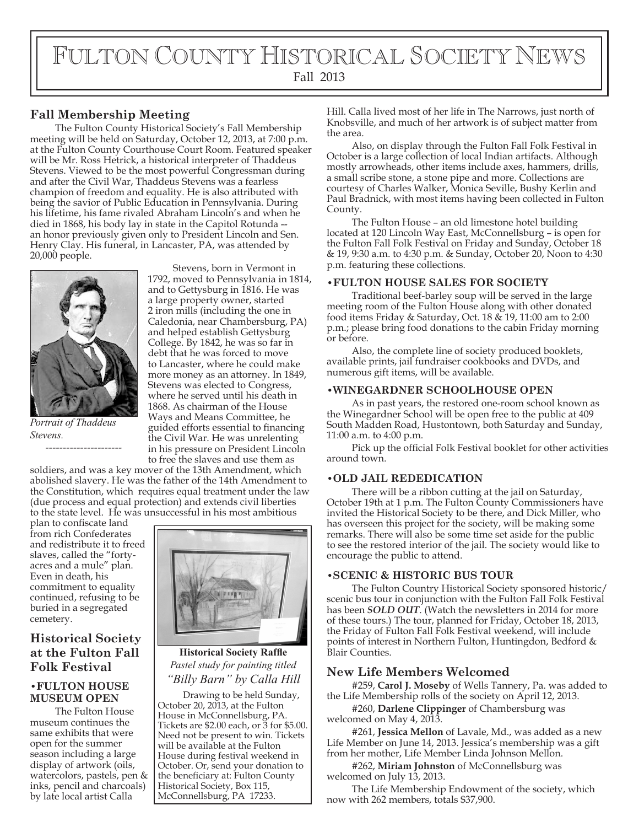# FULTON COUNTY HISTORICAL SOCIETY NEWS Fall 2013

# **Fall Membership Meeting**

The Fulton County Historical Society's Fall Membership meeting will be held on Saturday, October 12, 2013, at 7:00 p.m. at the Fulton County Courthouse Court Room. Featured speaker will be Mr. Ross Hetrick, a historical interpreter of Thaddeus Stevens. Viewed to be the most powerful Congressman during and after the Civil War, Thaddeus Stevens was a fearless champion of freedom and equality. He is also attributed with being the savior of Public Education in Pennsylvania. During his lifetime, his fame rivaled Abraham Lincoln's and when he died in 1868, his body lay in state in the Capitol Rotunda - an honor previously given only to President Lincoln and Sen. Henry Clay. His funeral, in Lancaster, PA, was attended by 20,000 people.



*Portrait of Thaddeus Stevens.*

*----------------------*

Stevens, born in Vermont in 1792, moved to Pennsylvania in 1814, and to Gettysburg in 1816. He was a large property owner, started 2 iron mills (including the one in Caledonia, near Chambersburg, PA) and helped establish Gettysburg College. By 1842, he was so far in debt that he was forced to move to Lancaster, where he could make more money as an attorney. In 1849, Stevens was elected to Congress, where he served until his death in 1868. As chairman of the House Ways and Means Committee, he guided efforts essential to financing the Civil War. He was unrelenting in his pressure on President Lincoln to free the slaves and use them as

soldiers, and was a key mover of the 13th Amendment, which abolished slavery. He was the father of the 14th Amendment to the Constitution, which requires equal treatment under the law (due process and equal protection) and extends civil liberties to the state level. He was unsuccessful in his most ambitious

plan to confiscate land from rich Confederates and redistribute it to freed slaves, called the "fortyacres and a mule" plan. Even in death, his commitment to equality continued, refusing to be buried in a segregated cemetery.

# **Historical Society at the Fulton Fall Folk Festival**

### **•FULTON HOUSE MUSEUM OPEN**

The Fulton House museum continues the same exhibits that were open for the summer season including a large display of artwork (oils, watercolors, pastels, pen & inks, pencil and charcoals) by late local artist Calla



**Historical Society Raffle** *Pastel study for painting titled "Billy Barn" by Calla Hill*

Drawing to be held Sunday, October 20, 2013, at the Fulton House in McConnellsburg, PA. Tickets are \$2.00 each, or 3 for \$5.00. Need not be present to win. Tickets will be available at the Fulton House during festival weekend in October. Or, send your donation to the beneficiary at: Fulton County Historical Society, Box 115, McConnellsburg, PA 17233.

Hill. Calla lived most of her life in The Narrows, just north of Knobsville, and much of her artwork is of subject matter from the area.

Also, on display through the Fulton Fall Folk Festival in October is a large collection of local Indian artifacts. Although mostly arrowheads, other items include axes, hammers, drills, a small scribe stone, a stone pipe and more. Collections are courtesy of Charles Walker, Monica Seville, Bushy Kerlin and Paul Bradnick, with most items having been collected in Fulton County.

The Fulton House – an old limestone hotel building located at 120 Lincoln Way East, McConnellsburg – is open for the Fulton Fall Folk Festival on Friday and Sunday, October 18 & 19, 9:30 a.m. to 4:30 p.m. & Sunday, October 20, Noon to 4:30 p.m. featuring these collections.

#### **•FULTON HOUSE SALES FOR SOCIETY**

Traditional beef-barley soup will be served in the large meeting room of the Fulton House along with other donated food items Friday & Saturday, Oct. 18 & 19, 11:00 am to 2:00 p.m.; please bring food donations to the cabin Friday morning or before.

Also, the complete line of society produced booklets, available prints, jail fundraiser cookbooks and DVDs, and numerous gift items, will be available.

### **•WINEGARDNER SCHOOLHOUSE OPEN**

As in past years, the restored one-room school known as the Winegardner School will be open free to the public at 409 South Madden Road, Hustontown, both Saturday and Sunday, 11:00 a.m. to 4:00 p.m.

Pick up the official Folk Festival booklet for other activities around town.

### **•OLD JAIL REDEDICATION**

There will be a ribbon cutting at the jail on Saturday, October 19th at 1 p.m. The Fulton County Commissioners have invited the Historical Society to be there, and Dick Miller, who has overseen this project for the society, will be making some remarks. There will also be some time set aside for the public to see the restored interior of the jail. The society would like to encourage the public to attend.

#### **•SCENIC & HISTORIC BUS TOUR**

The Fulton Country Historical Society sponsored historic/ scenic bus tour in conjunction with the Fulton Fall Folk Festival has been *SOLD OUT*. (Watch the newsletters in 2014 for more of these tours.) The tour, planned for Friday, October 18, 2013, the Friday of Fulton Fall Folk Festival weekend, will include points of interest in Northern Fulton, Huntingdon, Bedford & Blair Counties.

### **New Life Members Welcomed**

#259, **Carol J. Moseby** of Wells Tannery, Pa. was added to the Life Membership rolls of the society on April 12, 2013.

#260, **Darlene Clippinger** of Chambersburg was welcomed on May 4, 2013.

#261, **Jessica Mellon** of Lavale, Md., was added as a new Life Member on June 14, 2013. Jessica's membership was a gift from her mother, Life Member Linda Johnson Mellon.

#262, **Miriam Johnston** of McConnellsburg was welcomed on July 13, 2013.

The Life Membership Endowment of the society, which now with 262 members, totals \$37,900.